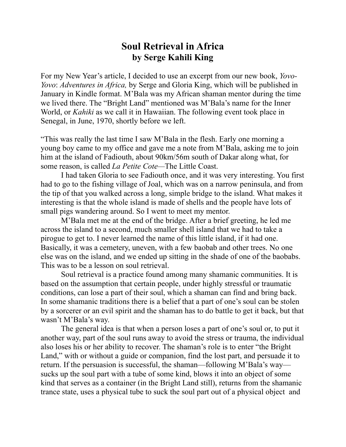## **Soul Retrieval in Africa by Serge Kahili King**

For my New Year's article, I decided to use an excerpt from our new book, *Yovo-Yovo*: *Adventures in Africa,* by Serge and Gloria King, which will be published in January in Kindle format. M'Bala was my African shaman mentor during the time we lived there. The "Bright Land" mentioned was M'Bala's name for the Inner World, or *Kahiki* as we call it in Hawaiian. The following event took place in Senegal, in June, 1970, shortly before we left.

"This was really the last time I saw M'Bala in the flesh. Early one morning a young boy came to my office and gave me a note from M'Bala, asking me to join him at the island of Fadiouth, about 90km/56m south of Dakar along what, for some reason, is called *La Petite Cote—*The Little Coast.

 I had taken Gloria to see Fadiouth once, and it was very interesting. You first had to go to the fishing village of Joal, which was on a narrow peninsula, and from the tip of that you walked across a long, simple bridge to the island. What makes it interesting is that the whole island is made of shells and the people have lots of small pigs wandering around. So I went to meet my mentor.

 M'Bala met me at the end of the bridge. After a brief greeting, he led me across the island to a second, much smaller shell island that we had to take a pirogue to get to. I never learned the name of this little island, if it had one. Basically, it was a cemetery, uneven, with a few baobab and other trees. No one else was on the island, and we ended up sitting in the shade of one of the baobabs. This was to be a lesson on soul retrieval.

 Soul retrieval is a practice found among many shamanic communities. It is based on the assumption that certain people, under highly stressful or traumatic conditions, can lose a part of their soul, which a shaman can find and bring back. In some shamanic traditions there is a belief that a part of one's soul can be stolen by a sorcerer or an evil spirit and the shaman has to do battle to get it back, but that wasn't M'Bala's way.

 The general idea is that when a person loses a part of one's soul or, to put it another way, part of the soul runs away to avoid the stress or trauma, the individual also loses his or her ability to recover. The shaman's role is to enter "the Bright Land," with or without a guide or companion, find the lost part, and persuade it to return. If the persuasion is successful, the shaman—following M'Bala's way sucks up the soul part with a tube of some kind, blows it into an object of some kind that serves as a container (in the Bright Land still), returns from the shamanic trance state, uses a physical tube to suck the soul part out of a physical object and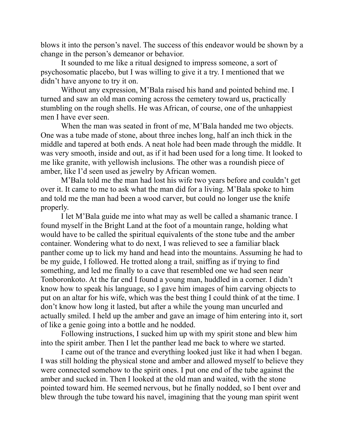blows it into the person's navel. The success of this endeavor would be shown by a change in the person's demeanor or behavior.

 It sounded to me like a ritual designed to impress someone, a sort of psychosomatic placebo, but I was willing to give it a try. I mentioned that we didn't have anyone to try it on.

 Without any expression, M'Bala raised his hand and pointed behind me. I turned and saw an old man coming across the cemetery toward us, practically stumbling on the rough shells. He was African, of course, one of the unhappiest men I have ever seen.

 When the man was seated in front of me, M'Bala handed me two objects. One was a tube made of stone, about three inches long, half an inch thick in the middle and tapered at both ends. A neat hole had been made through the middle. It was very smooth, inside and out, as if it had been used for a long time. It looked to me like granite, with yellowish inclusions. The other was a roundish piece of amber, like I'd seen used as jewelry by African women.

 M'Bala told me the man had lost his wife two years before and couldn't get over it. It came to me to ask what the man did for a living. M'Bala spoke to him and told me the man had been a wood carver, but could no longer use the knife properly.

 I let M'Bala guide me into what may as well be called a shamanic trance. I found myself in the Bright Land at the foot of a mountain range, holding what would have to be called the spiritual equivalents of the stone tube and the amber container. Wondering what to do next, I was relieved to see a familiar black panther come up to lick my hand and head into the mountains. Assuming he had to be my guide, I followed. He trotted along a trail, sniffing as if trying to find something, and led me finally to a cave that resembled one we had seen near Tonboronkoto. At the far end I found a young man, huddled in a corner. I didn't know how to speak his language, so I gave him images of him carving objects to put on an altar for his wife, which was the best thing I could think of at the time. I don't know how long it lasted, but after a while the young man uncurled and actually smiled. I held up the amber and gave an image of him entering into it, sort of like a genie going into a bottle and he nodded.

 Following instructions, I sucked him up with my spirit stone and blew him into the spirit amber. Then I let the panther lead me back to where we started.

 I came out of the trance and everything looked just like it had when I began. I was still holding the physical stone and amber and allowed myself to believe they were connected somehow to the spirit ones. I put one end of the tube against the amber and sucked in. Then I looked at the old man and waited, with the stone pointed toward him. He seemed nervous, but he finally nodded, so I bent over and blew through the tube toward his navel, imagining that the young man spirit went